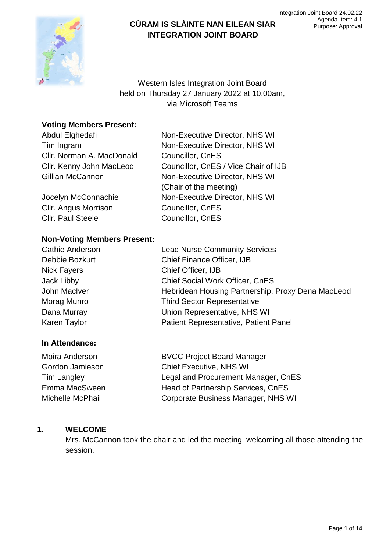

Western Isles Integration Joint Board held on Thursday 27 January 2022 at 10.00am, via Microsoft Teams

## **Voting Members Present:**

| Abdul Elghedafi           | Non-Executive Director, NHS WI       |  |
|---------------------------|--------------------------------------|--|
| Tim Ingram                | Non-Executive Director, NHS WI       |  |
| Cllr. Norman A. MacDonald | Councillor, CnES                     |  |
| Cllr. Kenny John MacLeod  | Councillor, CnES / Vice Chair of IJB |  |
| Gillian McCannon          | Non-Executive Director, NHS WI       |  |
|                           | (Chair of the meeting)               |  |
| Jocelyn McConnachie       | Non-Executive Director, NHS WI       |  |
| Cllr. Angus Morrison      | Councillor, CnES                     |  |
| Cllr. Paul Steele         | Councillor, CnES                     |  |

### **Non-Voting Members Present:**

| <b>Lead Nurse Community Services</b>              |
|---------------------------------------------------|
| Chief Finance Officer, IJB                        |
| Chief Officer, IJB                                |
| <b>Chief Social Work Officer, CnES</b>            |
| Hebridean Housing Partnership, Proxy Dena MacLeod |
| <b>Third Sector Representative</b>                |
| Union Representative, NHS WI                      |
| Patient Representative, Patient Panel             |
|                                                   |

## **In Attendance:**

| Moira Anderson   | <b>BVCC Project Board Manager</b>   |
|------------------|-------------------------------------|
| Gordon Jamieson  | <b>Chief Executive, NHS WI</b>      |
| Tim Langley      | Legal and Procurement Manager, CnES |
| Emma MacSween    | Head of Partnership Services, CnES  |
| Michelle McPhail | Corporate Business Manager, NHS WI  |

## **1. WELCOME**

Mrs. McCannon took the chair and led the meeting, welcoming all those attending the session.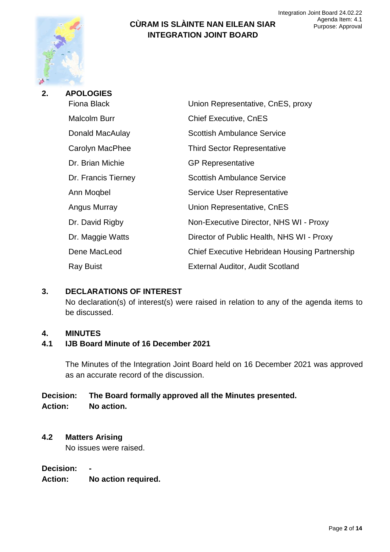

| 2. | <b>APOLOGIES</b>    |                                               |  |
|----|---------------------|-----------------------------------------------|--|
|    | <b>Fiona Black</b>  | Union Representative, CnES, proxy             |  |
|    | Malcolm Burr        | <b>Chief Executive, CnES</b>                  |  |
|    | Donald MacAulay     | <b>Scottish Ambulance Service</b>             |  |
|    | Carolyn MacPhee     | <b>Third Sector Representative</b>            |  |
|    | Dr. Brian Michie    | <b>GP Representative</b>                      |  |
|    | Dr. Francis Tierney | <b>Scottish Ambulance Service</b>             |  |
|    | Ann Mogbel          | Service User Representative                   |  |
|    | Angus Murray        | Union Representative, CnES                    |  |
|    | Dr. David Rigby     | Non-Executive Director, NHS WI - Proxy        |  |
|    | Dr. Maggie Watts    | Director of Public Health, NHS WI - Proxy     |  |
|    | Dene MacLeod        | Chief Executive Hebridean Housing Partnership |  |
|    | <b>Ray Buist</b>    | <b>External Auditor, Audit Scotland</b>       |  |
|    |                     |                                               |  |

#### **3. DECLARATIONS OF INTEREST**

No declaration(s) of interest(s) were raised in relation to any of the agenda items to be discussed.

#### **4. MINUTES**

### **4.1 IJB Board Minute of 16 December 2021**

The Minutes of the Integration Joint Board held on 16 December 2021 was approved as an accurate record of the discussion.

#### **Decision: The Board formally approved all the Minutes presented. Action: No action.**

# **4.2 Matters Arising**

No issues were raised.

#### **Decision: -**

**Action: No action required.**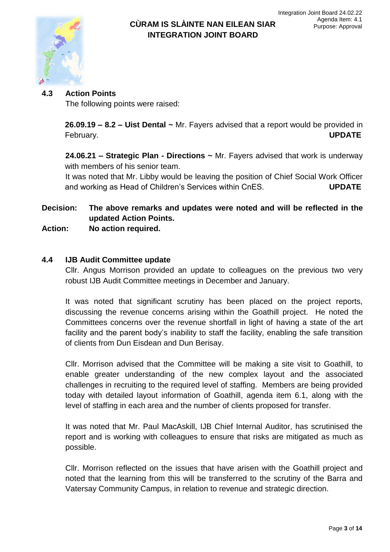

## **4.3 Action Points**

The following points were raised:

**26.09.19 – 8.2 – Uist Dental ~** Mr. Fayers advised that a report would be provided in February. **UPDATE**

**24.06.21 – Strategic Plan - Directions ~** Mr. Fayers advised that work is underway with members of his senior team.

It was noted that Mr. Libby would be leaving the position of Chief Social Work Officer and working as Head of Children's Services within CnES. **UPDATE**

**Decision: The above remarks and updates were noted and will be reflected in the updated Action Points.**

**Action: No action required.**

### **4.4 IJB Audit Committee update**

Cllr. Angus Morrison provided an update to colleagues on the previous two very robust IJB Audit Committee meetings in December and January.

It was noted that significant scrutiny has been placed on the project reports, discussing the revenue concerns arising within the Goathill project. He noted the Committees concerns over the revenue shortfall in light of having a state of the art facility and the parent body's inability to staff the facility, enabling the safe transition of clients from Dun Eisdean and Dun Berisay.

Cllr. Morrison advised that the Committee will be making a site visit to Goathill, to enable greater understanding of the new complex layout and the associated challenges in recruiting to the required level of staffing. Members are being provided today with detailed layout information of Goathill, agenda item 6.1, along with the level of staffing in each area and the number of clients proposed for transfer.

It was noted that Mr. Paul MacAskill, IJB Chief Internal Auditor, has scrutinised the report and is working with colleagues to ensure that risks are mitigated as much as possible.

Cllr. Morrison reflected on the issues that have arisen with the Goathill project and noted that the learning from this will be transferred to the scrutiny of the Barra and Vatersay Community Campus, in relation to revenue and strategic direction.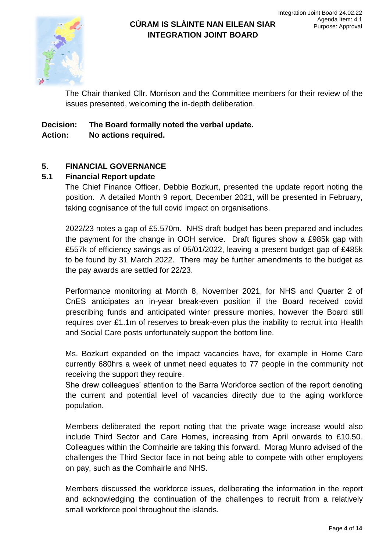

The Chair thanked Cllr. Morrison and the Committee members for their review of the issues presented, welcoming the in-depth deliberation.

## **Decision: The Board formally noted the verbal update. Action: No actions required.**

## **5. FINANCIAL GOVERNANCE**

## **5.1 Financial Report update**

The Chief Finance Officer, Debbie Bozkurt, presented the update report noting the position. A detailed Month 9 report, December 2021, will be presented in February, taking cognisance of the full covid impact on organisations.

2022/23 notes a gap of £5.570m. NHS draft budget has been prepared and includes the payment for the change in OOH service. Draft figures show a £985k gap with £557k of efficiency savings as of 05/01/2022, leaving a present budget gap of £485k to be found by 31 March 2022. There may be further amendments to the budget as the pay awards are settled for 22/23.

Performance monitoring at Month 8, November 2021, for NHS and Quarter 2 of CnES anticipates an in-year break-even position if the Board received covid prescribing funds and anticipated winter pressure monies, however the Board still requires over £1.1m of reserves to break-even plus the inability to recruit into Health and Social Care posts unfortunately support the bottom line.

Ms. Bozkurt expanded on the impact vacancies have, for example in Home Care currently 680hrs a week of unmet need equates to 77 people in the community not receiving the support they require.

She drew colleagues' attention to the Barra Workforce section of the report denoting the current and potential level of vacancies directly due to the aging workforce population.

Members deliberated the report noting that the private wage increase would also include Third Sector and Care Homes, increasing from April onwards to £10.50. Colleagues within the Comhairle are taking this forward. Morag Munro advised of the challenges the Third Sector face in not being able to compete with other employers on pay, such as the Comhairle and NHS.

Members discussed the workforce issues, deliberating the information in the report and acknowledging the continuation of the challenges to recruit from a relatively small workforce pool throughout the islands.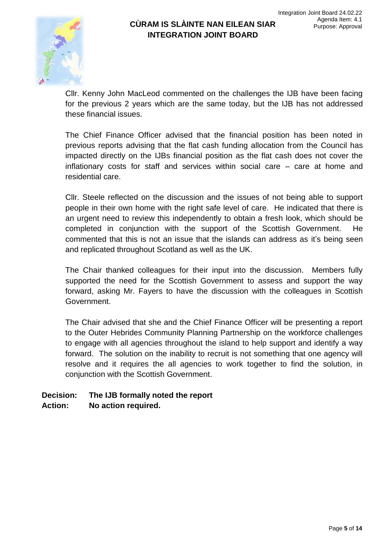

Cllr. Kenny John MacLeod commented on the challenges the IJB have been facing for the previous 2 years which are the same today, but the IJB has not addressed these financial issues.

The Chief Finance Officer advised that the financial position has been noted in previous reports advising that the flat cash funding allocation from the Council has impacted directly on the IJBs financial position as the flat cash does not cover the inflationary costs for staff and services within social care – care at home and residential care.

Cllr. Steele reflected on the discussion and the issues of not being able to support people in their own home with the right safe level of care. He indicated that there is an urgent need to review this independently to obtain a fresh look, which should be completed in conjunction with the support of the Scottish Government. He commented that this is not an issue that the islands can address as it's being seen and replicated throughout Scotland as well as the UK.

The Chair thanked colleagues for their input into the discussion. Members fully supported the need for the Scottish Government to assess and support the way forward, asking Mr. Fayers to have the discussion with the colleagues in Scottish Government.

The Chair advised that she and the Chief Finance Officer will be presenting a report to the Outer Hebrides Community Planning Partnership on the workforce challenges to engage with all agencies throughout the island to help support and identify a way forward. The solution on the inability to recruit is not something that one agency will resolve and it requires the all agencies to work together to find the solution, in conjunction with the Scottish Government.

## **Decision: The IJB formally noted the report Action: No action required.**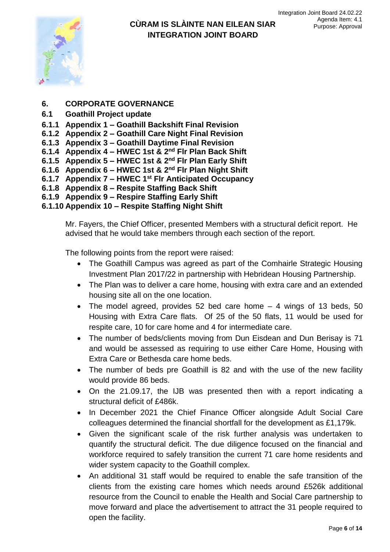

- **6. CORPORATE GOVERNANCE**
- **6.1 Goathill Project update**
- **6.1.1 Appendix 1 – Goathill Backshift Final Revision**
- **6.1.2 Appendix 2 – Goathill Care Night Final Revision**
- **6.1.3 Appendix 3 – Goathill Daytime Final Revision**
- **6.1.4 Appendix 4 – HWEC 1st & 2nd Flr Plan Back Shift**
- **6.1.5 Appendix 5 – HWEC 1st & 2nd Flr Plan Early Shift**
- **6.1.6 Appendix 6 – HWEC 1st & 2nd Flr Plan Night Shift**
- **6.1.7 Appendix 7 – HWEC 1st Flr Anticipated Occupancy**
- **6.1.8 Appendix 8 – Respite Staffing Back Shift**
- **6.1.9 Appendix 9 – Respire Staffing Early Shift**
- **6.1.10 Appendix 10 – Respite Staffing Night Shift**

Mr. Fayers, the Chief Officer, presented Members with a structural deficit report. He advised that he would take members through each section of the report.

The following points from the report were raised:

- The Goathill Campus was agreed as part of the Comhairle Strategic Housing Investment Plan 2017/22 in partnership with Hebridean Housing Partnership.
- The Plan was to deliver a care home, housing with extra care and an extended housing site all on the one location.
- The model agreed, provides 52 bed care home  $-4$  wings of 13 beds, 50 Housing with Extra Care flats. Of 25 of the 50 flats, 11 would be used for respite care, 10 for care home and 4 for intermediate care.
- The number of beds/clients moving from Dun Eisdean and Dun Berisay is 71 and would be assessed as requiring to use either Care Home, Housing with Extra Care or Bethesda care home beds.
- The number of beds pre Goathill is 82 and with the use of the new facility would provide 86 beds.
- On the 21.09.17, the IJB was presented then with a report indicating a structural deficit of £486k.
- In December 2021 the Chief Finance Officer alongside Adult Social Care colleagues determined the financial shortfall for the development as £1,179k.
- Given the significant scale of the risk further analysis was undertaken to quantify the structural deficit. The due diligence focused on the financial and workforce required to safely transition the current 71 care home residents and wider system capacity to the Goathill complex.
- An additional 31 staff would be required to enable the safe transition of the clients from the existing care homes which needs around £526k additional resource from the Council to enable the Health and Social Care partnership to move forward and place the advertisement to attract the 31 people required to open the facility.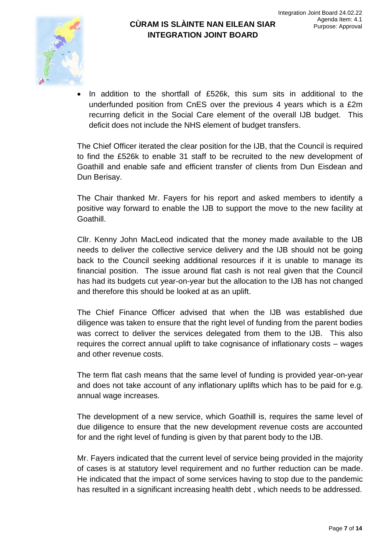

 In addition to the shortfall of £526k, this sum sits in additional to the underfunded position from CnES over the previous 4 years which is a £2m recurring deficit in the Social Care element of the overall IJB budget. This deficit does not include the NHS element of budget transfers.

The Chief Officer iterated the clear position for the IJB, that the Council is required to find the £526k to enable 31 staff to be recruited to the new development of Goathill and enable safe and efficient transfer of clients from Dun Eisdean and Dun Berisay.

The Chair thanked Mr. Fayers for his report and asked members to identify a positive way forward to enable the IJB to support the move to the new facility at Goathill.

Cllr. Kenny John MacLeod indicated that the money made available to the IJB needs to deliver the collective service delivery and the IJB should not be going back to the Council seeking additional resources if it is unable to manage its financial position. The issue around flat cash is not real given that the Council has had its budgets cut year-on-year but the allocation to the IJB has not changed and therefore this should be looked at as an uplift.

The Chief Finance Officer advised that when the IJB was established due diligence was taken to ensure that the right level of funding from the parent bodies was correct to deliver the services delegated from them to the IJB. This also requires the correct annual uplift to take cognisance of inflationary costs – wages and other revenue costs.

The term flat cash means that the same level of funding is provided year-on-year and does not take account of any inflationary uplifts which has to be paid for e.g. annual wage increases.

The development of a new service, which Goathill is, requires the same level of due diligence to ensure that the new development revenue costs are accounted for and the right level of funding is given by that parent body to the IJB.

Mr. Fayers indicated that the current level of service being provided in the majority of cases is at statutory level requirement and no further reduction can be made. He indicated that the impact of some services having to stop due to the pandemic has resulted in a significant increasing health debt , which needs to be addressed.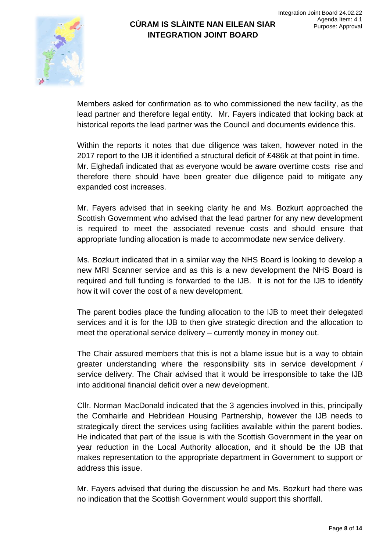

Members asked for confirmation as to who commissioned the new facility, as the lead partner and therefore legal entity. Mr. Fayers indicated that looking back at historical reports the lead partner was the Council and documents evidence this.

Within the reports it notes that due diligence was taken, however noted in the 2017 report to the IJB it identified a structural deficit of £486k at that point in time. Mr. Elghedafi indicated that as everyone would be aware overtime costs rise and therefore there should have been greater due diligence paid to mitigate any expanded cost increases.

Mr. Fayers advised that in seeking clarity he and Ms. Bozkurt approached the Scottish Government who advised that the lead partner for any new development is required to meet the associated revenue costs and should ensure that appropriate funding allocation is made to accommodate new service delivery.

Ms. Bozkurt indicated that in a similar way the NHS Board is looking to develop a new MRI Scanner service and as this is a new development the NHS Board is required and full funding is forwarded to the IJB. It is not for the IJB to identify how it will cover the cost of a new development.

The parent bodies place the funding allocation to the IJB to meet their delegated services and it is for the IJB to then give strategic direction and the allocation to meet the operational service delivery – currently money in money out.

The Chair assured members that this is not a blame issue but is a way to obtain greater understanding where the responsibility sits in service development / service delivery. The Chair advised that it would be irresponsible to take the IJB into additional financial deficit over a new development.

Cllr. Norman MacDonald indicated that the 3 agencies involved in this, principally the Comhairle and Hebridean Housing Partnership, however the IJB needs to strategically direct the services using facilities available within the parent bodies. He indicated that part of the issue is with the Scottish Government in the year on year reduction in the Local Authority allocation, and it should be the IJB that makes representation to the appropriate department in Government to support or address this issue.

Mr. Fayers advised that during the discussion he and Ms. Bozkurt had there was no indication that the Scottish Government would support this shortfall.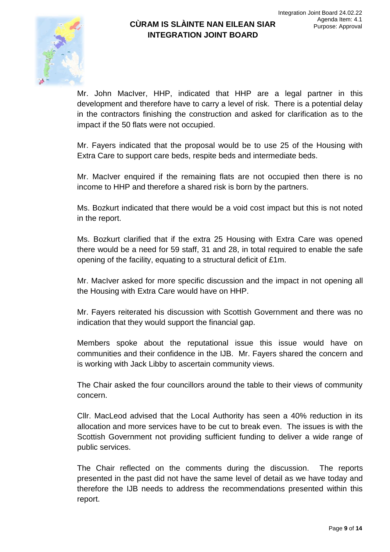

Mr. John MacIver, HHP, indicated that HHP are a legal partner in this development and therefore have to carry a level of risk. There is a potential delay in the contractors finishing the construction and asked for clarification as to the impact if the 50 flats were not occupied.

Mr. Fayers indicated that the proposal would be to use 25 of the Housing with Extra Care to support care beds, respite beds and intermediate beds.

Mr. MacIver enquired if the remaining flats are not occupied then there is no income to HHP and therefore a shared risk is born by the partners.

Ms. Bozkurt indicated that there would be a void cost impact but this is not noted in the report.

Ms. Bozkurt clarified that if the extra 25 Housing with Extra Care was opened there would be a need for 59 staff, 31 and 28, in total required to enable the safe opening of the facility, equating to a structural deficit of £1m.

Mr. MacIver asked for more specific discussion and the impact in not opening all the Housing with Extra Care would have on HHP.

Mr. Fayers reiterated his discussion with Scottish Government and there was no indication that they would support the financial gap.

Members spoke about the reputational issue this issue would have on communities and their confidence in the IJB. Mr. Fayers shared the concern and is working with Jack Libby to ascertain community views.

The Chair asked the four councillors around the table to their views of community concern.

Cllr. MacLeod advised that the Local Authority has seen a 40% reduction in its allocation and more services have to be cut to break even. The issues is with the Scottish Government not providing sufficient funding to deliver a wide range of public services.

The Chair reflected on the comments during the discussion. The reports presented in the past did not have the same level of detail as we have today and therefore the IJB needs to address the recommendations presented within this report.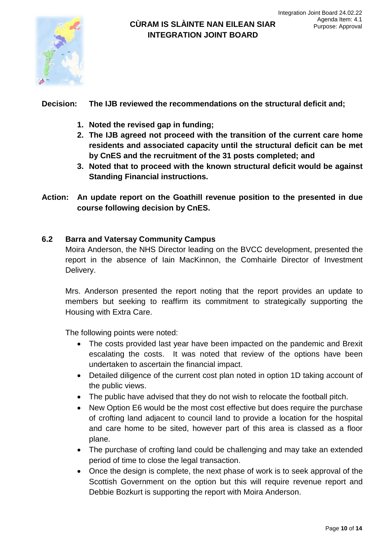

#### **Decision: The IJB reviewed the recommendations on the structural deficit and;**

- **1. Noted the revised gap in funding;**
- **2. The IJB agreed not proceed with the transition of the current care home residents and associated capacity until the structural deficit can be met by CnES and the recruitment of the 31 posts completed; and**
- **3. Noted that to proceed with the known structural deficit would be against Standing Financial instructions.**
- **Action: An update report on the Goathill revenue position to the presented in due course following decision by CnES.**

#### **6.2 Barra and Vatersay Community Campus**

Moira Anderson, the NHS Director leading on the BVCC development, presented the report in the absence of Iain MacKinnon, the Comhairle Director of Investment Delivery.

Mrs. Anderson presented the report noting that the report provides an update to members but seeking to reaffirm its commitment to strategically supporting the Housing with Extra Care.

The following points were noted:

- The costs provided last year have been impacted on the pandemic and Brexit escalating the costs. It was noted that review of the options have been undertaken to ascertain the financial impact.
- Detailed diligence of the current cost plan noted in option 1D taking account of the public views.
- The public have advised that they do not wish to relocate the football pitch.
- New Option E6 would be the most cost effective but does require the purchase of crofting land adjacent to council land to provide a location for the hospital and care home to be sited, however part of this area is classed as a floor plane.
- The purchase of crofting land could be challenging and may take an extended period of time to close the legal transaction.
- Once the design is complete, the next phase of work is to seek approval of the Scottish Government on the option but this will require revenue report and Debbie Bozkurt is supporting the report with Moira Anderson.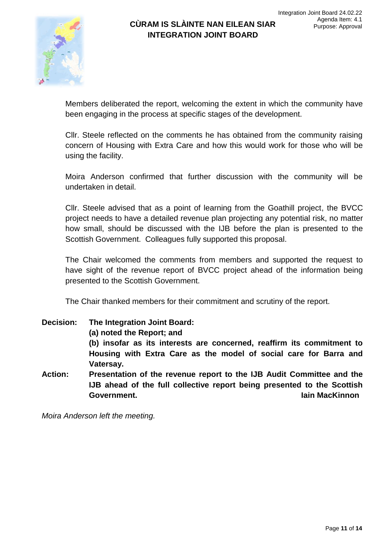Members deliberated the report, welcoming the extent in which the community have been engaging in the process at specific stages of the development.

**INTEGRATION JOINT BOARD**

Cllr. Steele reflected on the comments he has obtained from the community raising concern of Housing with Extra Care and how this would work for those who will be using the facility.

Moira Anderson confirmed that further discussion with the community will be undertaken in detail.

Cllr. Steele advised that as a point of learning from the Goathill project, the BVCC project needs to have a detailed revenue plan projecting any potential risk, no matter how small, should be discussed with the IJB before the plan is presented to the Scottish Government. Colleagues fully supported this proposal.

The Chair welcomed the comments from members and supported the request to have sight of the revenue report of BVCC project ahead of the information being presented to the Scottish Government.

The Chair thanked members for their commitment and scrutiny of the report.

**Decision: The Integration Joint Board: (a) noted the Report; and (b) insofar as its interests are concerned, reaffirm its commitment to Housing with Extra Care as the model of social care for Barra and Vatersay. Action: Presentation of the revenue report to the IJB Audit Committee and the IJB ahead of the full collective report being presented to the Scottish Government. Iain MacKinnon**

*Moira Anderson left the meeting.*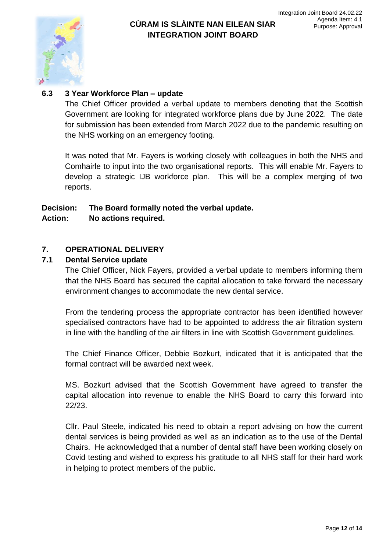

### **6.3 3 Year Workforce Plan – update**

The Chief Officer provided a verbal update to members denoting that the Scottish Government are looking for integrated workforce plans due by June 2022. The date for submission has been extended from March 2022 due to the pandemic resulting on the NHS working on an emergency footing.

It was noted that Mr. Fayers is working closely with colleagues in both the NHS and Comhairle to input into the two organisational reports. This will enable Mr. Fayers to develop a strategic IJB workforce plan. This will be a complex merging of two reports.

# **Decision: The Board formally noted the verbal update.**

#### **Action: No actions required.**

### **7. OPERATIONAL DELIVERY**

#### **7.1 Dental Service update**

The Chief Officer, Nick Fayers, provided a verbal update to members informing them that the NHS Board has secured the capital allocation to take forward the necessary environment changes to accommodate the new dental service.

From the tendering process the appropriate contractor has been identified however specialised contractors have had to be appointed to address the air filtration system in line with the handling of the air filters in line with Scottish Government guidelines.

The Chief Finance Officer, Debbie Bozkurt, indicated that it is anticipated that the formal contract will be awarded next week.

MS. Bozkurt advised that the Scottish Government have agreed to transfer the capital allocation into revenue to enable the NHS Board to carry this forward into 22/23.

Cllr. Paul Steele, indicated his need to obtain a report advising on how the current dental services is being provided as well as an indication as to the use of the Dental Chairs. He acknowledged that a number of dental staff have been working closely on Covid testing and wished to express his gratitude to all NHS staff for their hard work in helping to protect members of the public.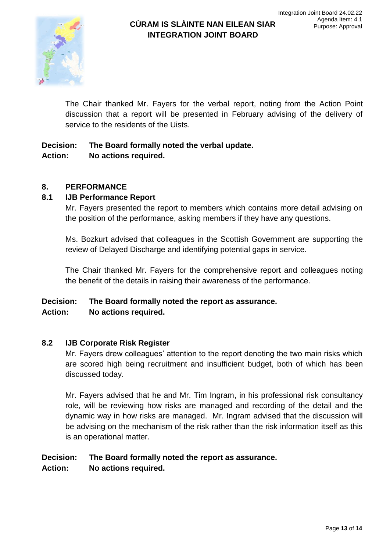The Chair thanked Mr. Fayers for the verbal report, noting from the Action Point discussion that a report will be presented in February advising of the delivery of service to the residents of the Uists.

**INTEGRATION JOINT BOARD**

# **Decision: The Board formally noted the verbal update. Action: No actions required.**

## **8. PERFORMANCE**

## **8.1 IJB Performance Report**

Mr. Fayers presented the report to members which contains more detail advising on the position of the performance, asking members if they have any questions.

Ms. Bozkurt advised that colleagues in the Scottish Government are supporting the review of Delayed Discharge and identifying potential gaps in service.

The Chair thanked Mr. Fayers for the comprehensive report and colleagues noting the benefit of the details in raising their awareness of the performance.

### **Decision: The Board formally noted the report as assurance. Action: No actions required.**

## **8.2 IJB Corporate Risk Register**

Mr. Fayers drew colleagues' attention to the report denoting the two main risks which are scored high being recruitment and insufficient budget, both of which has been discussed today.

Mr. Fayers advised that he and Mr. Tim Ingram, in his professional risk consultancy role, will be reviewing how risks are managed and recording of the detail and the dynamic way in how risks are managed. Mr. Ingram advised that the discussion will be advising on the mechanism of the risk rather than the risk information itself as this is an operational matter.

# **Decision: The Board formally noted the report as assurance.**

**Action: No actions required.**